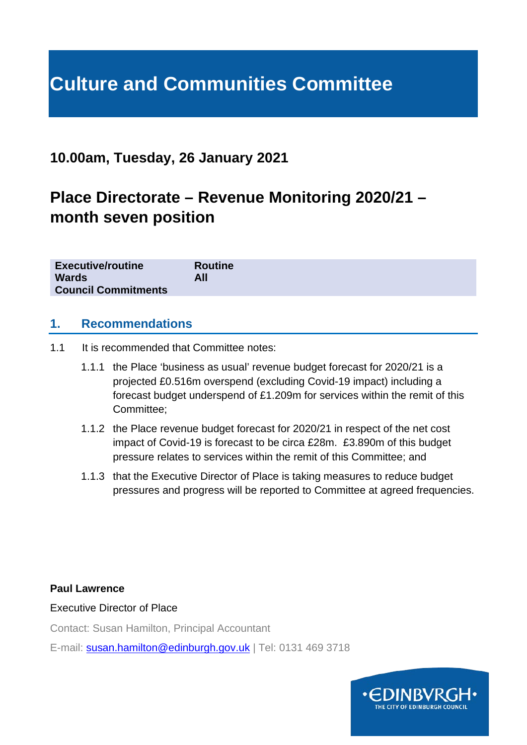# **Culture and Communities Committee**

# **10.00am, Tuesday, 26 January 2021**

# **Place Directorate – Revenue Monitoring 2020/21 – month seven position**

| <b>Executive/routine</b>   | <b>Routine</b> |
|----------------------------|----------------|
| <b>Wards</b>               | All            |
| <b>Council Commitments</b> |                |

#### **1. Recommendations**

- 1.1 It is recommended that Committee notes:
	- 1.1.1 the Place 'business as usual' revenue budget forecast for 2020/21 is a projected £0.516m overspend (excluding Covid-19 impact) including a forecast budget underspend of £1.209m for services within the remit of this Committee;
	- 1.1.2 the Place revenue budget forecast for 2020/21 in respect of the net cost impact of Covid-19 is forecast to be circa £28m. £3.890m of this budget pressure relates to services within the remit of this Committee; and
	- 1.1.3 that the Executive Director of Place is taking measures to reduce budget pressures and progress will be reported to Committee at agreed frequencies.

#### **Paul Lawrence**

Executive Director of Place

Contact: Susan Hamilton, Principal Accountant

E-mail: [susan.hamilton@edinburgh.gov.uk](mailto:susan.hamilton@edinburgh.gov.uk) | Tel: 0131 469 3718

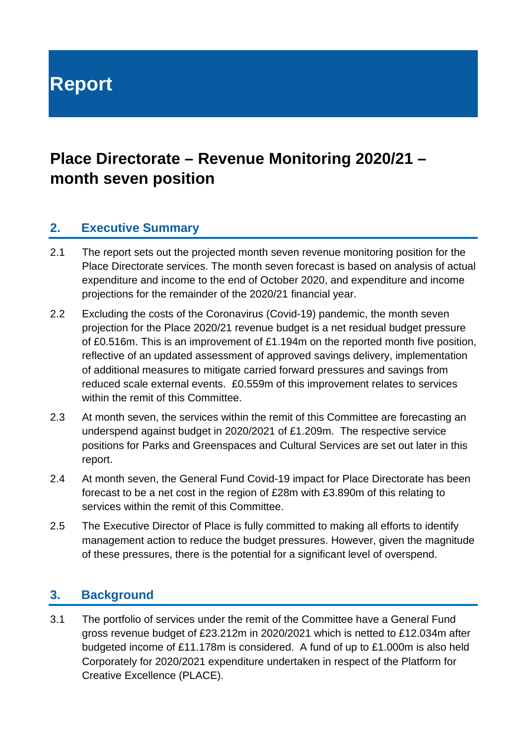**Report**

# **Place Directorate – Revenue Monitoring 2020/21 – month seven position**

#### **2. Executive Summary**

- 2.1 The report sets out the projected month seven revenue monitoring position for the Place Directorate services. The month seven forecast is based on analysis of actual expenditure and income to the end of October 2020, and expenditure and income projections for the remainder of the 2020/21 financial year.
- 2.2 Excluding the costs of the Coronavirus (Covid-19) pandemic, the month seven projection for the Place 2020/21 revenue budget is a net residual budget pressure of £0.516m. This is an improvement of £1.194m on the reported month five position, reflective of an updated assessment of approved savings delivery, implementation of additional measures to mitigate carried forward pressures and savings from reduced scale external events. £0.559m of this improvement relates to services within the remit of this Committee.
- 2.3 At month seven, the services within the remit of this Committee are forecasting an underspend against budget in 2020/2021 of £1.209m. The respective service positions for Parks and Greenspaces and Cultural Services are set out later in this report.
- 2.4 At month seven, the General Fund Covid-19 impact for Place Directorate has been forecast to be a net cost in the region of £28m with £3.890m of this relating to services within the remit of this Committee.
- 2.5 The Executive Director of Place is fully committed to making all efforts to identify management action to reduce the budget pressures. However, given the magnitude of these pressures, there is the potential for a significant level of overspend.

#### **3. Background**

3.1 The portfolio of services under the remit of the Committee have a General Fund gross revenue budget of £23.212m in 2020/2021 which is netted to £12.034m after budgeted income of £11.178m is considered. A fund of up to £1.000m is also held Corporately for 2020/2021 expenditure undertaken in respect of the Platform for Creative Excellence (PLACE).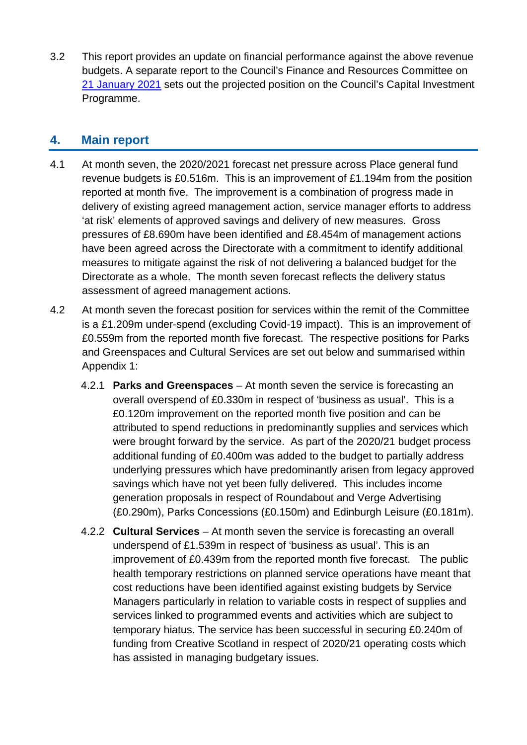3.2 This report provides an update on financial performance against the above revenue budgets. A separate report to the Council's Finance and Resources Committee on [21 January 2021](https://democracy.edinburgh.gov.uk/documents/s30428/7.2%20-%202020-30%20Capital%20Budget%20Strategy%20202021%20Month%20Eight%20Monitoring.pdf) sets out the projected position on the Council's Capital Investment Programme.

#### **4. Main report**

- 4.1 At month seven, the 2020/2021 forecast net pressure across Place general fund revenue budgets is £0.516m. This is an improvement of £1.194m from the position reported at month five. The improvement is a combination of progress made in delivery of existing agreed management action, service manager efforts to address 'at risk' elements of approved savings and delivery of new measures. Gross pressures of £8.690m have been identified and £8.454m of management actions have been agreed across the Directorate with a commitment to identify additional measures to mitigate against the risk of not delivering a balanced budget for the Directorate as a whole. The month seven forecast reflects the delivery status assessment of agreed management actions.
- 4.2 At month seven the forecast position for services within the remit of the Committee is a £1.209m under-spend (excluding Covid-19 impact). This is an improvement of £0.559m from the reported month five forecast. The respective positions for Parks and Greenspaces and Cultural Services are set out below and summarised within Appendix 1:
	- 4.2.1 **Parks and Greenspaces** At month seven the service is forecasting an overall overspend of £0.330m in respect of 'business as usual'. This is a £0.120m improvement on the reported month five position and can be attributed to spend reductions in predominantly supplies and services which were brought forward by the service. As part of the 2020/21 budget process additional funding of £0.400m was added to the budget to partially address underlying pressures which have predominantly arisen from legacy approved savings which have not yet been fully delivered. This includes income generation proposals in respect of Roundabout and Verge Advertising (£0.290m), Parks Concessions (£0.150m) and Edinburgh Leisure (£0.181m).
	- 4.2.2 **Cultural Services** At month seven the service is forecasting an overall underspend of £1.539m in respect of 'business as usual'. This is an improvement of £0.439m from the reported month five forecast. The public health temporary restrictions on planned service operations have meant that cost reductions have been identified against existing budgets by Service Managers particularly in relation to variable costs in respect of supplies and services linked to programmed events and activities which are subject to temporary hiatus. The service has been successful in securing £0.240m of funding from Creative Scotland in respect of 2020/21 operating costs which has assisted in managing budgetary issues.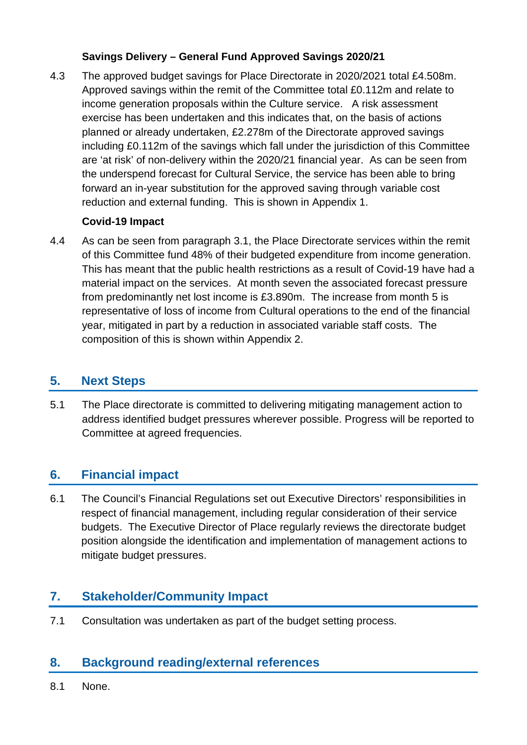#### **Savings Delivery – General Fund Approved Savings 2020/21**

4.3 The approved budget savings for Place Directorate in 2020/2021 total £4.508m. Approved savings within the remit of the Committee total £0.112m and relate to income generation proposals within the Culture service. A risk assessment exercise has been undertaken and this indicates that, on the basis of actions planned or already undertaken, £2.278m of the Directorate approved savings including £0.112m of the savings which fall under the jurisdiction of this Committee are 'at risk' of non-delivery within the 2020/21 financial year. As can be seen from the underspend forecast for Cultural Service, the service has been able to bring forward an in-year substitution for the approved saving through variable cost reduction and external funding. This is shown in Appendix 1.

#### **Covid-19 Impact**

4.4 As can be seen from paragraph 3.1, the Place Directorate services within the remit of this Committee fund 48% of their budgeted expenditure from income generation. This has meant that the public health restrictions as a result of Covid-19 have had a material impact on the services. At month seven the associated forecast pressure from predominantly net lost income is £3.890m. The increase from month 5 is representative of loss of income from Cultural operations to the end of the financial year, mitigated in part by a reduction in associated variable staff costs. The composition of this is shown within Appendix 2.

## **5. Next Steps**

5.1 The Place directorate is committed to delivering mitigating management action to address identified budget pressures wherever possible. Progress will be reported to Committee at agreed frequencies.

## **6. Financial impact**

6.1 The Council's Financial Regulations set out Executive Directors' responsibilities in respect of financial management, including regular consideration of their service budgets. The Executive Director of Place regularly reviews the directorate budget position alongside the identification and implementation of management actions to mitigate budget pressures.

## **7. Stakeholder/Community Impact**

7.1 Consultation was undertaken as part of the budget setting process.

#### **8. Background reading/external references**

8.1 None.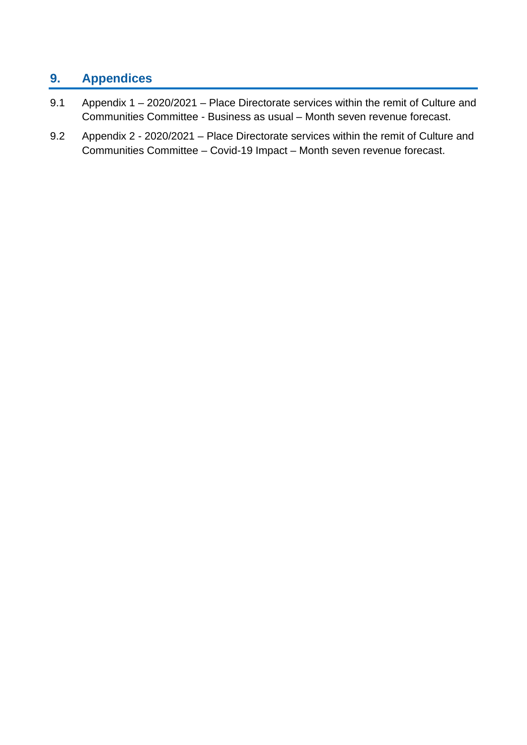# **9. Appendices**

- 9.1 Appendix 1 2020/2021 Place Directorate services within the remit of Culture and Communities Committee - Business as usual – Month seven revenue forecast.
- 9.2 Appendix 2 2020/2021 Place Directorate services within the remit of Culture and Communities Committee – Covid-19 Impact – Month seven revenue forecast.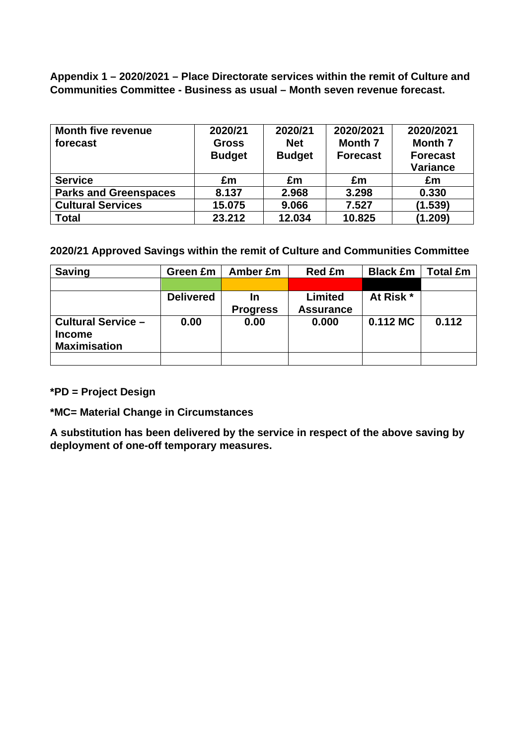**Appendix 1 – 2020/2021 – Place Directorate services within the remit of Culture and Communities Committee - Business as usual – Month seven revenue forecast.** 

| <b>Month five revenue</b>    | 2020/21       | 2020/21       | 2020/2021       | 2020/2021       |
|------------------------------|---------------|---------------|-----------------|-----------------|
| forecast                     | <b>Gross</b>  | <b>Net</b>    | <b>Month 7</b>  | <b>Month 7</b>  |
|                              | <b>Budget</b> | <b>Budget</b> | <b>Forecast</b> | <b>Forecast</b> |
|                              |               |               |                 | <b>Variance</b> |
| <b>Service</b>               | £m            | £m            | £m              | £m              |
| <b>Parks and Greenspaces</b> | 8.137         | 2.968         | 3.298           | 0.330           |
| <b>Cultural Services</b>     | 15.075        | 9.066         | 7.527           | (1.539)         |
| <b>Total</b>                 | 23.212        | 12.034        | 10.825          | (1.209)         |

**2020/21 Approved Savings within the remit of Culture and Communities Committee**

| <b>Saving</b>             | Green £m         | Amber £m        | <b>Red £m</b>    | <b>Black £m</b> | <b>Total £m</b> |
|---------------------------|------------------|-----------------|------------------|-----------------|-----------------|
|                           |                  |                 |                  |                 |                 |
|                           | <b>Delivered</b> | In              | Limited          | At Risk *       |                 |
|                           |                  | <b>Progress</b> | <b>Assurance</b> |                 |                 |
| <b>Cultural Service -</b> | 0.00             | 0.00            | 0.000            | $0.112$ MC      | 0.112           |
| <b>Income</b>             |                  |                 |                  |                 |                 |
| <b>Maximisation</b>       |                  |                 |                  |                 |                 |
|                           |                  |                 |                  |                 |                 |

**\*PD = Project Design**

**\*MC= Material Change in Circumstances**

**A substitution has been delivered by the service in respect of the above saving by deployment of one-off temporary measures.**